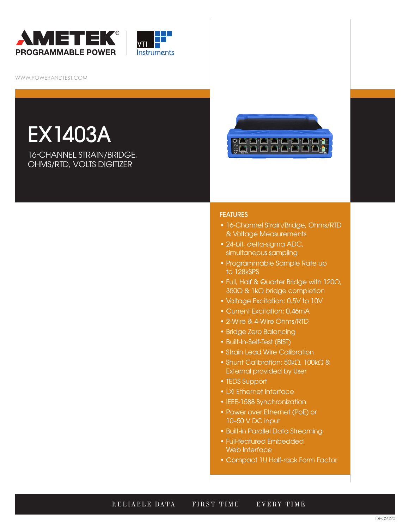



WWW.POWERANDTEST.COM

# EX1403A

16-CHANNEL STRAIN/BRIDGE, OHMS/RTD, VOLTS DIGITIZER



#### **FEATURES**

- 16-Channel Strain/Bridge, Ohms/RTD & Voltage Measurements
- 24-bit, delta-sigma ADC, simultaneous sampling
- Programmable Sample Rate up to 128kSPS
- Full, Half & Quarter Bridge with 120Ω, 350Ω & 1kΩ bridge completion
- Voltage Excitation: 0.5V to 10V
- Current Excitation: 0.46mA
- 2-Wire & 4-Wire Ohms/RTD
- Bridge Zero Balancing
- Built-In-Self-Test (BIST)
- Strain Lead Wire Calibration
- Shunt Calibration: 50kΩ, 100kΩ & External provided by User
- TEDS Support
- LXI Ethernet Interface
- IEEE-1588 Synchronization
- Power over Ethernet (PoE) or 10–50 V DC input
- Built-in Parallel Data Streaming
- Full-featured Embedded Web Interface
- Compact 1U Half-rack Form Factor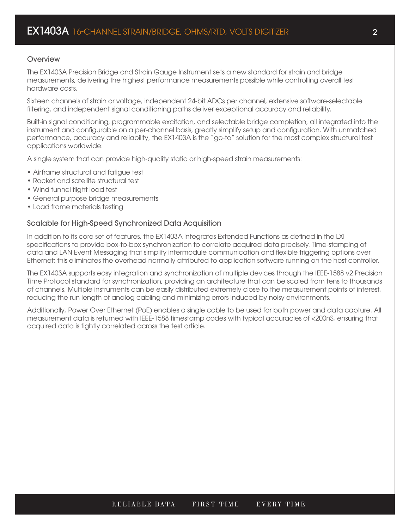### **Overview**

The EX1403A Precision Bridge and Strain Gauge Instrument sets a new standard for strain and bridge measurements, delivering the highest performance measurements possible while controlling overall test hardware costs.

Sixteen channels of strain or voltage, independent 24-bit ADCs per channel, extensive software-selectable filtering, and independent signal conditioning paths deliver exceptional accuracy and reliability.

Built-in signal conditioning, programmable excitation, and selectable bridge completion, all integrated into the instrument and configurable on a per-channel basis, greatly simplify setup and configuration. With unmatched performance, accuracy and reliability, the EX1403A is the "go-to" solution for the most complex structural test applications worldwide.

A single system that can provide high-quality static or high-speed strain measurements:

- Airframe structural and fatigue test
- Rocket and satellite structural test
- Wind tunnel flight load test
- General purpose bridge measurements
- Load frame materials testing

#### Scalable for High-Speed Synchronized Data Acquisition

In addition to its core set of features, the EX1403A integrates Extended Functions as defined in the LXI specifications to provide box-to-box synchronization to correlate acquired data precisely. Time-stamping of data and LAN Event Messaging that simplify intermodule communication and flexible triggering options over Ethernet; this eliminates the overhead normally attributed to application software running on the host controller.

The EX1403A supports easy integration and synchronization of multiple devices through the IEEE-1588 v2 Precision Time Protocol standard for synchronization, providing an architecture that can be scaled from tens to thousands of channels. Multiple instruments can be easily distributed extremely close to the measurement points of interest, reducing the run length of analog cabling and minimizing errors induced by noisy environments.

Additionally, Power Over Ethernet (PoE) enables a single cable to be used for both power and data capture. All measurement data is returned with IEEE-1588 timestamp codes with typical accuracies of <200nS, ensuring that acquired data is tightly correlated across the test article.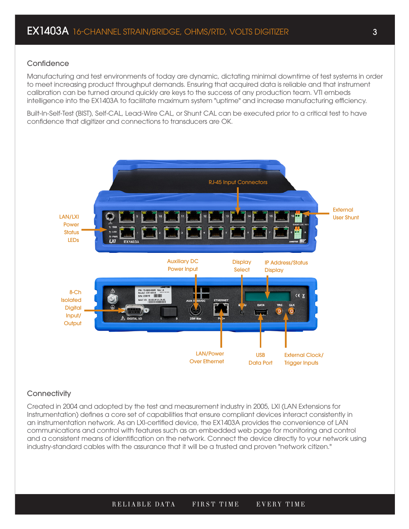#### **Confidence**

Manufacturing and test environments of today are dynamic, dictating minimal downtime of test systems in order to meet increasing product throughput demands. Ensuring that acquired data is reliable and that instrument calibration can be turned around quickly are keys to the success of any production team. VTI embeds intelligence into the EX1403A to facilitate maximum system "uptime" and increase manufacturing efficiency.

Built-In-Self-Test (BIST), Self-CAL, Lead-Wire CAL, or Shunt CAL can be executed prior to a critical test to have confidence that digitizer and connections to transducers are OK.



## **Connectivity**

Created in 2004 and adopted by the test and measurement industry in 2005, LXI (LAN Extensions for Instrumentation) defines a core set of capabilities that ensure compliant devices interact consistently in an instrumentation network. As an LXI-certified device, the EX1403A provides the convenience of LAN communications and control with features such as an embedded web page for monitoring and control and a consistent means of identification on the network. Connect the device directly to your network using industry-standard cables with the assurance that it will be a trusted and proven "network citizen."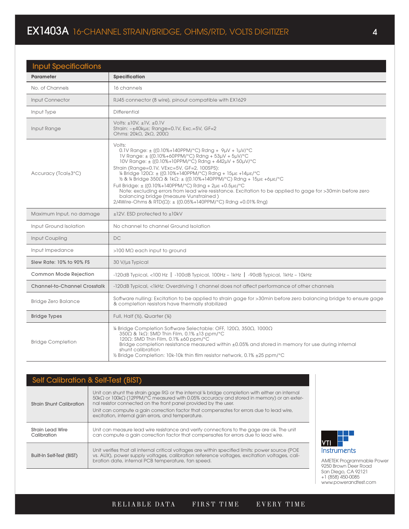# EX1403A 16-CHANNEL STRAIN/BRIDGE, OHMS/RTD, VOLTS DIGITIZER 4

| <b>Input Specifications</b>         |                                                                                                                                                                                                                                                                                                                                                                                                                                                                                                                                                                                                                                                                                                                       |
|-------------------------------------|-----------------------------------------------------------------------------------------------------------------------------------------------------------------------------------------------------------------------------------------------------------------------------------------------------------------------------------------------------------------------------------------------------------------------------------------------------------------------------------------------------------------------------------------------------------------------------------------------------------------------------------------------------------------------------------------------------------------------|
| <b>Parameter</b>                    | <b>Specification</b>                                                                                                                                                                                                                                                                                                                                                                                                                                                                                                                                                                                                                                                                                                  |
| No. of Channels                     | 16 channels                                                                                                                                                                                                                                                                                                                                                                                                                                                                                                                                                                                                                                                                                                           |
| Input Connector                     | RJ45 connector (8 wire), pinout compatible with EX1629                                                                                                                                                                                                                                                                                                                                                                                                                                                                                                                                                                                                                                                                |
| Input Type                          | Differential                                                                                                                                                                                                                                                                                                                                                                                                                                                                                                                                                                                                                                                                                                          |
| Input Range                         | Volts: $\pm$ 10V, $\pm$ 1V, $\pm$ 0.1V<br>Strain: ~±40kµs; Range=0.1V, Exc.=5V, GF=2<br>Ohms: 20kΩ, 2kΩ, 200Ω                                                                                                                                                                                                                                                                                                                                                                                                                                                                                                                                                                                                         |
| Accuracy (Tcal±3°C)                 | Volts:<br>$0.1V$ Range: $\pm$ ((0.10%+140PPM/°C) Rdng + 9µV + 1µV/°C<br>1V Range: ± ((0.10%+60PPM/°C) Rdng + 53µV + 5µV/°C<br>10V Range: ± ((0.10%+10PPM/°C) Rdng + 442µV + 50µV/°C<br>Strain (Range=0.1V, VExc=5V, GF=2, 100SPS):<br>W Bridge 120Ω: ± ((0.10%+140PPM/°C) Rdng + 15με +14με/°C<br>$\frac{1}{2}$ & $\frac{1}{4}$ Bridge 350 $\Omega$ & 1k $\Omega$ : $\pm$ ((0.10%+140PPM/°C) Rdng + 15 $\mu$ e +6 $\mu$ e/°C<br>Full Bridge: $\pm$ ((0.10%+140PPM/°C) Rdng + 2ue +0.5ue/°C<br>Note: excluding errors from lead wire resistance. Excitation to be applied to gage for >30min before zero<br>balancing bridge (measure Vunstrained)<br>2/4Wire-Ohms & RTD(Ω): $\pm$ ((0.05%+140PPM/°C) Rdng +0.01% Rng) |
| Maximum Input, no damage            | $\pm$ 12V. ESD protected to $\pm$ 10kV                                                                                                                                                                                                                                                                                                                                                                                                                                                                                                                                                                                                                                                                                |
| Input Ground Isolation              | No channel to channel Ground Isolation                                                                                                                                                                                                                                                                                                                                                                                                                                                                                                                                                                                                                                                                                |
| Input Coupling                      | <b>DC</b>                                                                                                                                                                                                                                                                                                                                                                                                                                                                                                                                                                                                                                                                                                             |
| Input Impedance                     | $>100$ M $\Omega$ each input to ground                                                                                                                                                                                                                                                                                                                                                                                                                                                                                                                                                                                                                                                                                |
| Slew Rate: 10% to 90% FS            | 30 V/us Typical                                                                                                                                                                                                                                                                                                                                                                                                                                                                                                                                                                                                                                                                                                       |
| Common Mode Rejection               | $-120$ dB Typical, <100 Hz $\vert$ $-100$ dB Typical, 100Hz $-$ 1kHz $\vert$ $-90$ dB Typical, 1kHz $-$ 10kHz                                                                                                                                                                                                                                                                                                                                                                                                                                                                                                                                                                                                         |
| <b>Channel-to-Channel Crosstalk</b> | -120dB Typical, <1kHz: Overdriving 1 channel does not affect performance of other channels                                                                                                                                                                                                                                                                                                                                                                                                                                                                                                                                                                                                                            |
| Bridge Zero Balance                 | Software nulling: Excitation to be applied to strain gage for >30min before zero balancing bridge to ensure gage<br>& completion resistors have thermally stabilized                                                                                                                                                                                                                                                                                                                                                                                                                                                                                                                                                  |
| <b>Bridge Types</b>                 | Full, Half $(V_2)$ , Quarter $(V_4)$                                                                                                                                                                                                                                                                                                                                                                                                                                                                                                                                                                                                                                                                                  |
| <b>Bridge Completion</b>            | V <sub>4</sub> Bridge Completion Software Selectable: OFF, 120Ω, 350Ω, 1000Ω<br>350Ω & 1kΩ: SMD Thin Film, 0.1% ±13 ppm/°C<br>120 $\Omega$ : SMD Thin Film, 0.1% ±60 ppm/°C<br>Bridge completion resistance measured within $\pm 0.05\%$ and stored in memory for use during internal<br>shunt calibration<br>$\frac{1}{2}$ Bridge Completion: 10k-10k thin film resistor network, 0.1% $\pm$ 25 ppm/°C                                                                                                                                                                                                                                                                                                               |

| <b>Self Calibration &amp; Self-Test (BIST)</b> |                                                                                                                                                                                                                                                                                                                                                                                                                                     |  |  |  |  |
|------------------------------------------------|-------------------------------------------------------------------------------------------------------------------------------------------------------------------------------------------------------------------------------------------------------------------------------------------------------------------------------------------------------------------------------------------------------------------------------------|--|--|--|--|
| <b>Strain Shunt Calibration</b>                | Unit can shunt the strain gage RG or the internal 4 bridge completion with either an internal<br>$50 \text{k}\Omega$ or 100k $\Omega$ (12PPM/°C measured with 0.05% accuracy and stored in memory) or an exter-<br>nal resistor connected on the front panel provided by the user.<br>Unit can compute a gain correction factor that compensates for errors due to lead wire,<br>excitation, internal gain errors, and temperature. |  |  |  |  |
| <b>Strain Lead Wire</b><br>Calibration         | Unit can measure lead wire resistance and verify connections to the gage are ok. The unit<br>can compute a gain correction factor that compensates for errors due to lead wire.                                                                                                                                                                                                                                                     |  |  |  |  |
| Built-In Self-Test (BIST)                      | Unit verifies that all internal critical voltages are within specified limits: power source (POE<br>vs. AUX), power supply voltages, calibration reference voltages, excitation voltages, cali-<br>bration date, internal PCB temperature, fan speed.                                                                                                                                                                               |  |  |  |  |

VTI Instruments

 $\bar{1}$ 

AMETEK Programmable Power 9250 Brown Deer Road San Diego, CA 92121 +1 (858) 450-0085 www.powerandtest.com

RELIABLE DATA FIRST TIME EVERY TIME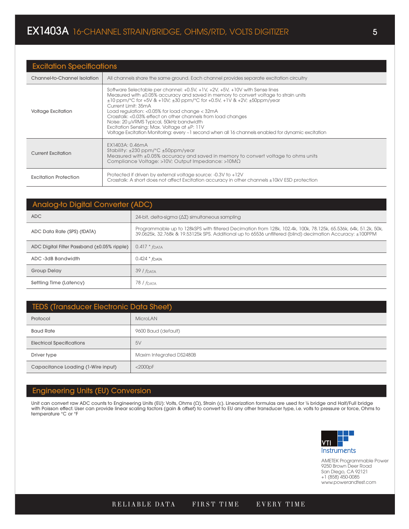| <b>Excitation Specifications</b> |                                                                                                                                                                                                                                                                                                                                                                                                                                                                                                                                                                                                                       |  |  |  |  |
|----------------------------------|-----------------------------------------------------------------------------------------------------------------------------------------------------------------------------------------------------------------------------------------------------------------------------------------------------------------------------------------------------------------------------------------------------------------------------------------------------------------------------------------------------------------------------------------------------------------------------------------------------------------------|--|--|--|--|
| Channel-to-Channel Isolation     | All channels share the same ground. Each channel provides separate excitation circuitry                                                                                                                                                                                                                                                                                                                                                                                                                                                                                                                               |  |  |  |  |
| <b>Voltage Excitation</b>        | Software Selectable per channel: +0.5V, +1V, +2V, +5V, +10V with Sense lines<br>Measured with $\pm 0.05\%$ accuracy and saved in memory to convert voltage to strain units<br>$\pm 10$ ppm/°C for +5V & +10V; $\pm 30$ ppm/°C for +0.5V, +1V & +2V; $\pm 50$ ppm/year<br>Current Limit: 35mA<br>Load regulation: <0.05% for load change < 32mA<br>Crosstalk: <0.03% effect on other channels from load changes<br>Noise: 20 µVRMS Typical, 50kHz bandwidth<br>Excitation Sensing: Max. Voltage at $\pm P$ : 11V<br>Voltage Excitation Monitoring: every ~1 second when all 16 channels enabled for dynamic excitation |  |  |  |  |
| <b>Current Excitation</b>        | EX1403A: 0.46mA<br>Stability: $\pm 230$ ppm/°C $\pm 50$ ppm/year<br>Measured with ±0.05% accuracy and saved in memory to convert voltage to ohms units<br>Compliance Voltage: >10V; Output Impedance: >10MΩ                                                                                                                                                                                                                                                                                                                                                                                                           |  |  |  |  |
| <b>Excitation Protection</b>     | Protected if driven by external voltage source: -0.3V to +12V<br>Crosstalk: A short does not affect Excitation accuracy in other channels ±10kV ESD protection                                                                                                                                                                                                                                                                                                                                                                                                                                                        |  |  |  |  |

| <b>Analog-to Digital Converter (ADC)</b>    |                                                                                                                                                                                                                              |  |  |  |
|---------------------------------------------|------------------------------------------------------------------------------------------------------------------------------------------------------------------------------------------------------------------------------|--|--|--|
| ADC                                         | 24-bit, delta-sigma ( $\Delta\Sigma$ ) simultaneous sampling                                                                                                                                                                 |  |  |  |
| ADC Data Rate (SPS) (fDATA)                 | Programmable up to 128kSPS with filtered Decimation from 128k, 102.4k, 100k, 78.125k, 65.536k, 64k, 51.2k, 50k,<br>39.0625k, 32.768k & 19.53125k SPS. Additional up to 65536 unfiltered (blind) decimation Accuracy: ±100PPM |  |  |  |
| ADC Digital Filter Passband (±0.05% ripple) | $0.417 * f_{\text{DATA}}$                                                                                                                                                                                                    |  |  |  |
| ADC-3dB Bandwidth                           | $0.424 * f_{\text{DATA}}$                                                                                                                                                                                                    |  |  |  |
| <b>Group Delay</b>                          | 39/f <sub>DATA</sub>                                                                                                                                                                                                         |  |  |  |
| Settling Time (Latency)                     | 78 <i>  f</i> data                                                                                                                                                                                                           |  |  |  |

| <b>TEDS (Transducer Electronic Data Sheet)</b> |                          |  |  |
|------------------------------------------------|--------------------------|--|--|
| Protocol                                       | MicroLAN                 |  |  |
| <b>Baud Rate</b>                               | 9600 Baud (default)      |  |  |
| <b>Electrical Specifications</b>               | 5V                       |  |  |
| Driver type                                    | Maxim Integrated DS2480B |  |  |
| Capacitance Loading (1-Wire input)             | $<$ 2000 $pF$            |  |  |

## Engineering Units (EU) Conversion

Unit can convert raw ADC counts to Engineering Units (EU): Volts, Ohms (Ω), Strain (ε). Linearization formulas are used for ¼ bridge and Half/Full bridge with Poisson effect. User can provide linear scaling factors (gain & offset) to convert to EU any other transducer type, i.e. volts to pressure or force, Ohms to temperature °C or °F

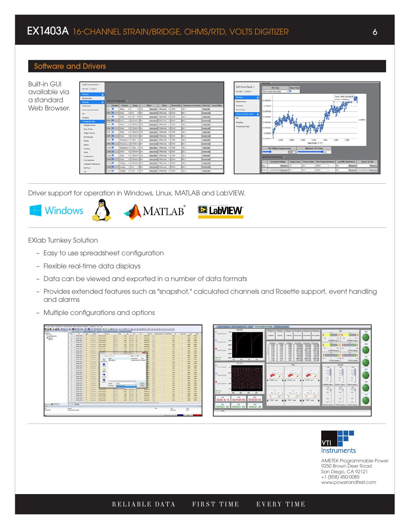# Software and Drivers

| <b>Built-in GUI</b> | Soft Front Panel ©      |                                   |                 |                                                                 |           |                                                                  |      |                                                          |                        |                        | <b>TRUS LIVELET</b>                                                                                                 |
|---------------------|-------------------------|-----------------------------------|-----------------|-----------------------------------------------------------------|-----------|------------------------------------------------------------------|------|----------------------------------------------------------|------------------------|------------------------|---------------------------------------------------------------------------------------------------------------------|
|                     | EX1403 - 235627         |                                   |                 |                                                                 |           |                                                                  |      |                                                          |                        | Soft Front Panel (1)   | <b>Draw Points</b><br><b>Plot Type</b>                                                                              |
| available via       |                         |                                   |                 |                                                                 |           |                                                                  |      |                                                          |                        | EX1403 - 235627        | via.<br>Poll Current Value Table                                                                                    |
|                     | Plut Dots               |                                   |                 |                                                                 |           |                                                                  |      |                                                          |                        | <b>Phit Data</b>       | Time: 5949.036768259                                                                                                |
| a standard          | Measurement<br>Charmels | Channel Configuration             |                 |                                                                 |           |                                                                  |      |                                                          |                        | Maasurament            | CH14: 1.24450 us<br>0.0000032                                                                                       |
|                     | Stain Setup             | <b>Cashled</b>                    | <b>Euretion</b> | Range                                                           | Offset    | Mode                                                             |      | Record Size Transducer Conversion Auto Cal Current Value |                        | Channels               | 0.000003                                                                                                            |
| Web Browser.        | Advanced Strain Setup   | <b>ALL D</b>                      | Strain          | <b>v</b>                                                        | $\vee$ 00 | Auto Zera Differential v 1024                                    |      |                                                          | Auto Call              | <b>Stain Selup</b>     |                                                                                                                     |
|                     | DIO                     | los <b>D</b>                      | Strain          | $v$ $\frac{1}{2}$ $v$ $\frac{1}{2}$ $\frac{1}{2}$ $\frac{1}{2}$ |           | Auto Zera   Cifferental w   1024                                 |      |                                                          | Auto Call              | Advanced Disain Setup  | 0.0000028                                                                                                           |
|                     | Sampling                | loe <b>a</b>                      | Strain          | $v$ 12V $v$ 0.0                                                 |           | Auto Zera Cifferonsal v 1024                                     |      |                                                          | Auto Call              | DID.                   | 0.0000026                                                                                                           |
|                     | A Advanced Tabs         | 1000                              | Stain.          | $=$ 100 $\approx$ 100 $\approx$ 100                             |           | Auto Zero Differential v 1                                       | 1024 | 10.11                                                    | Auto Call              | Sampling               | $-CH14$<br>0.0000024                                                                                                |
|                     | Starage Devices         | CHI B                             | Stealer         |                                                                 |           | Auto Zere Cifferental v 1024                                     |      |                                                          | <b>Auto Cal</b>        | <b>¥ Advanced Tabs</b> |                                                                                                                     |
|                     | <b>Oyne &amp; Time</b>  | $\blacksquare$ CHS $\blacksquare$ | Strain          | $ -$ 100eV $-$ 0.0                                              |           | Auto Zera   Cifferental v   1024                                 |      |                                                          | Auto Call              |                        | 0.0000022                                                                                                           |
|                     | <b>Trigger Sources</b>  | <b>BOSB</b>                       | <b>Rank</b>     | $-$ 130mV $-$ 0.0                                               |           | Auto Zeral Differential v 1224                                   |      |                                                          | Auto Call              |                        | 0.000002                                                                                                            |
|                     | <b>Arm Sources</b>      | $ $ car $ $ C                     | Sarain          | $v$ = 130erv $v$ = 0.0                                          |           | Auto Zero   Cifferential v   1024                                |      |                                                          | <b>Auto Call</b>       |                        | 0.0000015                                                                                                           |
|                     | Events                  | los <b>D</b>                      |                 | Resistance v 1340 v 0.0                                         |           | Auto Zera) Officiardal v 1024                                    |      |                                                          | Auto Call              |                        | 5,400<br>4,600<br>4.800<br>5.200<br>5.400<br>5.000<br>5,800<br>Seconds (+1)                                         |
|                     | <b>Atares</b>           | 100B                              |                 | Resistance w 13080 w 0.6                                        |           | Auto Zero Cifferental v 1524                                     |      |                                                          | Auto Cal               |                        |                                                                                                                     |
|                     | Overload                | CHIO <b>C</b>                     |                 | Resistance v   1300 v   0.0                                     |           | Auto Zere   Differential v   1024                                |      |                                                          | Auto Call              |                        | <b>Maximum CVT Points</b><br><b>CVT Polling Frequency (ms)</b>                                                      |
|                     | TEDS                    | <b>CHIT</b>                       | Strain          | $=$ $\sqrt{130eV}$ $=$ 0.0                                      |           | Auto Zere   Cifferental v                                        | 1024 |                                                          | Auto Call<br>Auto Call |                        | 5560<br>• 512                                                                                                       |
|                     | Configuration           | cenz B<br><b>CHECK</b>            | Sealer-         | $v$   130mV $v$   0.0                                           |           | Auto Zera   Cifferential > 1624<br>Auto Zere Differential v 1924 |      | 10.41                                                    | Auto Call              |                        | Advanced Strain Setup                                                                                               |
|                     | Full Calibration        | <b>CHAIN</b>                      | Dasin           | $-$ 100 mV $-$ 100<br>Voltage v 100mV v 00                      |           | Auto Zera Cifforsmial v 1024                                     |      |                                                          | Auto Call              |                        | Cauge Factor Poisson Ratio Ohm Gauge Resistance Lead Wire Resistance<br>Shunt Cal Gain<br><b>Unstrained Voltage</b> |
|                     | Calibration References  | <b>Des D</b>                      |                 | Votage w IV w 0.0                                               |           | Auto Zera Differential v 1024                                    |      |                                                          | Auto Call              |                        | Measure<br>Measure)<br>1601<br>Measure                                                                              |
|                     | <b>Dell Test</b>        | cens <b>D</b>                     |                 | Votage w 13V w 0.0                                              |           | Auto Zera   Differential v   1024                                |      |                                                          | Auto Cal               |                        | Measure   1 00149661924 Measure<br>CH14 0.00326530930 Measure<br>360.0<br>lo e-<br>13                               |
|                     | 1.30                    |                                   |                 |                                                                 |           |                                                                  |      |                                                          |                        |                        |                                                                                                                     |

Driver support for operation in Windows, Linux, MATLAB and LabVIEW.



EXlab Turnkey Solution

- Easy to use spreadsheet configuration
- Flexible real-time data displays
- Data can be viewed and exported in a number of data formats
- Provides extended features such as "snapshot," calculated channels and Rosette support, event handling and alarms
- Multiple configurations and options





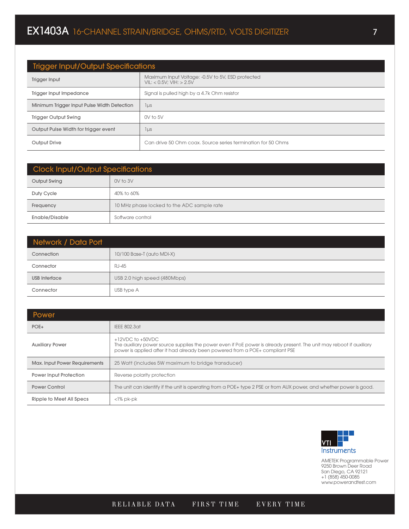| <b>Trigger Input/Output Specifications</b>  |                                                                               |  |  |
|---------------------------------------------|-------------------------------------------------------------------------------|--|--|
| Trigger Input                               | Maximum Input Voltage: -0.5V to 5V, ESD protected<br>VIL: < 0.5V: VIH: > 2.5V |  |  |
| Trigger Input Impedance                     | Signal is pulled high by a 4.7k Ohm resistor                                  |  |  |
| Minimum Trigger Input Pulse Width Detection | lus                                                                           |  |  |
| <b>Trigger Output Swing</b>                 | $0V$ to $5V$                                                                  |  |  |
| Output Pulse Width for trigger event        | 1 µs                                                                          |  |  |
| Output Drive                                | Can drive 50 Ohm coax. Source series termination for 50 Ohms                  |  |  |

| <b>Clock Input/Output Specifications</b> |                                            |  |  |
|------------------------------------------|--------------------------------------------|--|--|
| Output Swing                             | $0V$ to $3V$                               |  |  |
| Duty Cycle                               | 40% to 60%                                 |  |  |
| Frequency                                | 10 MHz phase locked to the ADC sample rate |  |  |
| Enable/Disable                           | Software control                           |  |  |

| Network / Data Port  |                              |  |  |  |  |
|----------------------|------------------------------|--|--|--|--|
| Connection           | 10/100 Base-T (auto MDI-X)   |  |  |  |  |
| Connector            | <b>RJ-45</b>                 |  |  |  |  |
| <b>USB</b> Interface | USB 2.0 high speed (480Mbps) |  |  |  |  |
| Connector            | USB type A                   |  |  |  |  |

| Power                         |                                                                                                                                                                                                                                |
|-------------------------------|--------------------------------------------------------------------------------------------------------------------------------------------------------------------------------------------------------------------------------|
| $POE+$                        | IEEE 802.3at                                                                                                                                                                                                                   |
| <b>Auxiliary Power</b>        | $+12$ VDC to $+50$ VDC<br>The auxiliary power source supplies the power even if PoE power is already present. The unit may reboot if auxiliary<br>power is applied after it had already been powered from a POE+ compliant PSE |
| Max. Input Power Requirements | 25 Watt (includes 5W maximum to bridge transducer)                                                                                                                                                                             |
| Power Input Protection        | Reverse polarity protection                                                                                                                                                                                                    |
| <b>Power Control</b>          | The unit can identify if the unit is operating from a POE+ type 2 PSE or from AUX power, and whether power is good.                                                                                                            |
| Ripple to Meet All Specs      | $<$ l% pk-pk                                                                                                                                                                                                                   |